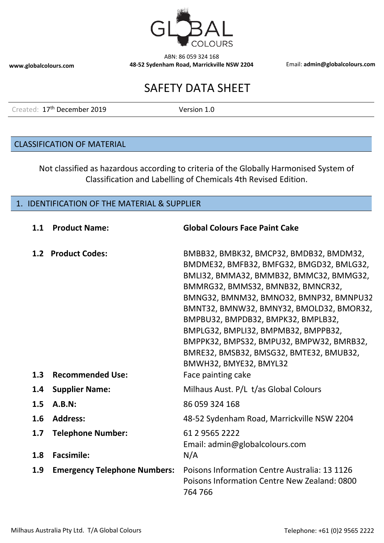

# SAFETY DATA SHEET

Created: 17<sup>th</sup> December 2019 Version 1.0

#### CLASSIFICATION OF MATERIAL

Not classified as hazardous according to criteria of the Globally Harmonised System of Classification and Labelling of Chemicals 4th Revised Edition.

#### 1. IDENTIFICATION OF THE MATERIAL & SUPPLIER

| 1.1        | <b>Product Name:</b>                          | <b>Global Colours Face Paint Cake</b>                                                                                                                                                                                                                                                                                                                                                                                                                                          |
|------------|-----------------------------------------------|--------------------------------------------------------------------------------------------------------------------------------------------------------------------------------------------------------------------------------------------------------------------------------------------------------------------------------------------------------------------------------------------------------------------------------------------------------------------------------|
| 1.3        | 1.2 Product Codes:<br><b>Recommended Use:</b> | BMBB32, BMBK32, BMCP32, BMDB32, BMDM32,<br>BMDME32, BMFB32, BMFG32, BMGD32, BMLG32,<br>BMLI32, BMMA32, BMMB32, BMMC32, BMMG32,<br>BMMRG32, BMMS32, BMNB32, BMNCR32,<br>BMNG32, BMNM32, BMNO32, BMNP32, BMNPU32<br>BMNT32, BMNW32, BMNY32, BMOLD32, BMOR32,<br>BMPBU32, BMPDB32, BMPK32, BMPLB32,<br>BMPLG32, BMPLI32, BMPMB32, BMPPB32,<br>BMPPK32, BMPS32, BMPU32, BMPW32, BMRB32,<br>BMRE32, BMSB32, BMSG32, BMTE32, BMUB32,<br>BMWH32, BMYE32, BMYL32<br>Face painting cake |
| 1.4        | <b>Supplier Name:</b>                         | Milhaus Aust. P/L t/as Global Colours                                                                                                                                                                                                                                                                                                                                                                                                                                          |
| 1.5        | A.B.N:                                        | 86 059 324 168                                                                                                                                                                                                                                                                                                                                                                                                                                                                 |
| 1.6        | <b>Address:</b>                               | 48-52 Sydenham Road, Marrickville NSW 2204                                                                                                                                                                                                                                                                                                                                                                                                                                     |
| 1.7<br>1.8 | <b>Telephone Number:</b><br><b>Facsimile:</b> | 61 2 9565 2222<br>Email: admin@globalcolours.com<br>N/A                                                                                                                                                                                                                                                                                                                                                                                                                        |
| 1.9        | <b>Emergency Telephone Numbers:</b>           | Poisons Information Centre Australia: 13 1126<br>Poisons Information Centre New Zealand: 0800<br>764 766                                                                                                                                                                                                                                                                                                                                                                       |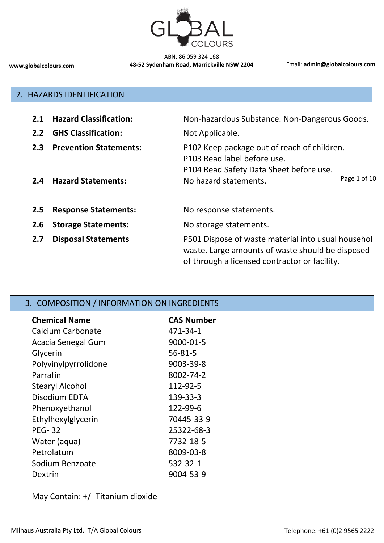

#### 2. HAZARDS IDENTIFICATION

| 2.1                  | <b>Hazard Classification:</b>                              | Non-hazardous Substance. Non-Dangerous Goods.                                                                                                                  |
|----------------------|------------------------------------------------------------|----------------------------------------------------------------------------------------------------------------------------------------------------------------|
| 2.2                  | <b>GHS Classification:</b>                                 | Not Applicable.                                                                                                                                                |
| 2.3<br>$2.4^{\circ}$ | <b>Prevention Statements:</b><br><b>Hazard Statements:</b> | P102 Keep package out of reach of children.<br>P103 Read label before use.<br>P104 Read Safety Data Sheet before use.<br>Page 1 of 10<br>No hazard statements. |
| 2.5                  | <b>Response Statements:</b>                                | No response statements.                                                                                                                                        |
| 2.6                  | <b>Storage Statements:</b>                                 | No storage statements.                                                                                                                                         |
| 2.7                  | <b>Disposal Statements</b>                                 | P501 Dispose of waste material into usual househol<br>waste. Large amounts of waste should be disposed<br>of through a licensed contractor or facility.        |

# 3. COMPOSITION / INFORMATION ON INGREDIENTS

| <b>Chemical Name</b>   | <b>CAS Number</b> |
|------------------------|-------------------|
| Calcium Carbonate      | 471-34-1          |
| Acacia Senegal Gum     | 9000-01-5         |
| Glycerin               | 56-81-5           |
| Polyvinylpyrrolidone   | 9003-39-8         |
| Parrafin               | 8002-74-2         |
| <b>Stearyl Alcohol</b> | 112-92-5          |
| Disodium EDTA          | 139-33-3          |
| Phenoxyethanol         | 122-99-6          |
| Ethylhexylglycerin     | 70445-33-9        |
| <b>PEG-32</b>          | 25322-68-3        |
| Water (aqua)           | 7732-18-5         |
| Petrolatum             | 8009-03-8         |
| Sodium Benzoate        | 532-32-1          |
| Dextrin                | 9004-53-9         |

May Contain: +/- Titanium dioxide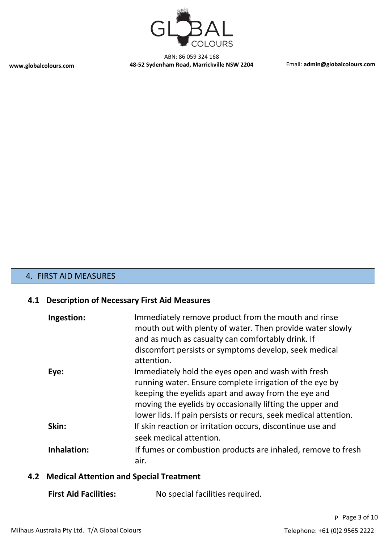

## 4. FIRST AID MEASURES

#### **4.1 Description of Necessary First Aid Measures**

| Ingestion:  | Immediately remove product from the mouth and rinse<br>mouth out with plenty of water. Then provide water slowly<br>and as much as casualty can comfortably drink. If<br>discomfort persists or symptoms develop, seek medical<br>attention.                                                        |
|-------------|-----------------------------------------------------------------------------------------------------------------------------------------------------------------------------------------------------------------------------------------------------------------------------------------------------|
| Eye:        | Immediately hold the eyes open and wash with fresh<br>running water. Ensure complete irrigation of the eye by<br>keeping the eyelids apart and away from the eye and<br>moving the eyelids by occasionally lifting the upper and<br>lower lids. If pain persists or recurs, seek medical attention. |
| Skin:       | If skin reaction or irritation occurs, discontinue use and<br>seek medical attention.                                                                                                                                                                                                               |
| Inhalation: | If fumes or combustion products are inhaled, remove to fresh<br>air.                                                                                                                                                                                                                                |

### **4.2 Medical Attention and Special Treatment**

**First Aid Facilities:** No special facilities required.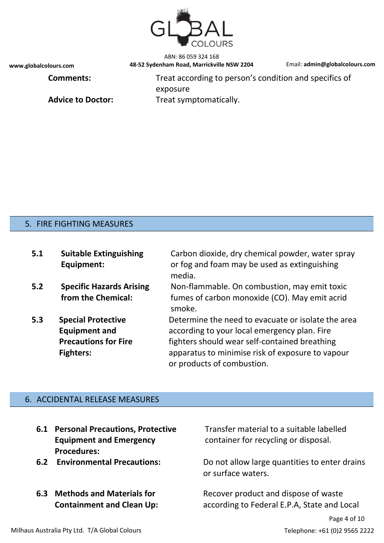

**Comments:** Treat according to person's condition and specifics of exposure Advice to Doctor: Treat symptomatically.

#### 5. FIRE FIGHTING MEASURES

| 5.1 | <b>Suitable Extinguishing</b><br>Equipment:                                                          | Carbon dioxide, dry chemical powder, water spray<br>or fog and foam may be used as extinguishing<br>media.                                                                                                                            |
|-----|------------------------------------------------------------------------------------------------------|---------------------------------------------------------------------------------------------------------------------------------------------------------------------------------------------------------------------------------------|
| 5.2 | <b>Specific Hazards Arising</b><br>from the Chemical:                                                | Non-flammable. On combustion, may emit toxic<br>fumes of carbon monoxide (CO). May emit acrid<br>smoke.                                                                                                                               |
| 5.3 | <b>Special Protective</b><br><b>Equipment and</b><br><b>Precautions for Fire</b><br><b>Fighters:</b> | Determine the need to evacuate or isolate the area<br>according to your local emergency plan. Fire<br>fighters should wear self-contained breathing<br>apparatus to minimise risk of exposure to vapour<br>or products of combustion. |

#### 6. ACCIDENTAL RELEASE MEASURES

- **6.1 Personal Precautions, Protective Equipment and Emergency Procedures:**
- 
- **6.3 Methods and Materials for Containment and Clean Up:**

Transfer material to a suitable labelled container for recycling or disposal.

**6.2 Environmental Precautions:** Do not allow large quantities to enter drains or surface waters.

> Recover product and dispose of waste according to Federal E.P.A, State and Local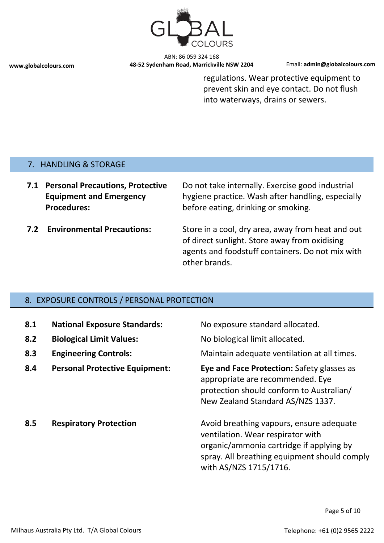

regulations. Wear protective equipment to prevent skin and eye contact. Do not flush into waterways, drains or sewers.

#### 7. HANDLING & STORAGE

**7.1 Personal Precautions, Protective Equipment and Emergency Procedures:**

Do not take internally. Exercise good industrial hygiene practice. Wash after handling, especially before eating, drinking or smoking.

**7.2 Environmental Precautions:** Store in a cool, dry area, away from heat and out of direct sunlight. Store away from oxidising agents and foodstuff containers. Do not mix with other brands.

#### 8. EXPOSURE CONTROLS / PERSONAL PROTECTION

| 8.1<br>8.2<br>8.3 | <b>National Exposure Standards:</b><br><b>Biological Limit Values:</b><br><b>Engineering Controls:</b> | No exposure standard allocated.<br>No biological limit allocated.<br>Maintain adequate ventilation at all times.                                                                                    |
|-------------------|--------------------------------------------------------------------------------------------------------|-----------------------------------------------------------------------------------------------------------------------------------------------------------------------------------------------------|
| 8.4               | <b>Personal Protective Equipment:</b>                                                                  | <b>Eye and Face Protection: Safety glasses as</b><br>appropriate are recommended. Eye<br>protection should conform to Australian/<br>New Zealand Standard AS/NZS 1337.                              |
| 8.5               | <b>Respiratory Protection</b>                                                                          | Avoid breathing vapours, ensure adequate<br>ventilation. Wear respirator with<br>organic/ammonia cartridge if applying by<br>spray. All breathing equipment should comply<br>with AS/NZS 1715/1716. |

Page 5 of 10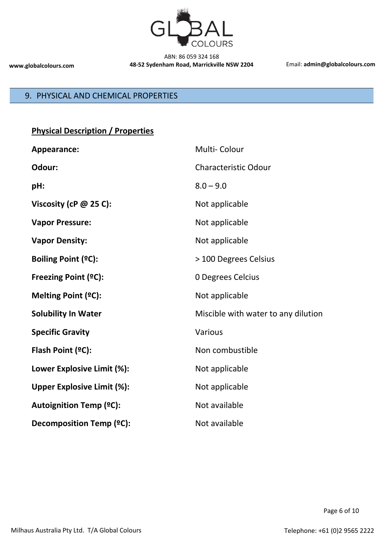

# 9. PHYSICAL AND CHEMICAL PROPERTIES

| <b>Physical Description / Properties</b> |  |
|------------------------------------------|--|
|                                          |  |

| Appearance:                       | Multi-Colour                        |
|-----------------------------------|-------------------------------------|
| Odour:                            | <b>Characteristic Odour</b>         |
| pH:                               | $8.0 - 9.0$                         |
| Viscosity (cP $@$ 25 C):          | Not applicable                      |
| <b>Vapor Pressure:</b>            | Not applicable                      |
| <b>Vapor Density:</b>             | Not applicable                      |
| <b>Boiling Point (ºC):</b>        | > 100 Degrees Celsius               |
| Freezing Point (°C):              | 0 Degrees Celcius                   |
| Melting Point (°C):               | Not applicable                      |
| <b>Solubility In Water</b>        | Miscible with water to any dilution |
| <b>Specific Gravity</b>           | Various                             |
| Flash Point (°C):                 | Non combustible                     |
| Lower Explosive Limit (%):        | Not applicable                      |
| <b>Upper Explosive Limit (%):</b> | Not applicable                      |
| <b>Autoignition Temp (°C):</b>    | Not available                       |
| Decomposition Temp (°C):          | Not available                       |

Page 6 of 10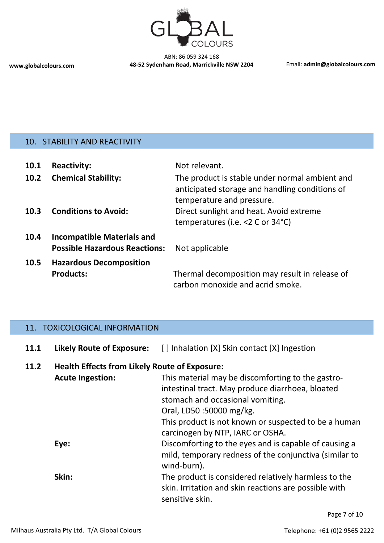

# 10. STABILITY AND REACTIVITY

| 10.1 | <b>Reactivity:</b>                                                        | Not relevant.                                                                                                                 |
|------|---------------------------------------------------------------------------|-------------------------------------------------------------------------------------------------------------------------------|
| 10.2 | <b>Chemical Stability:</b>                                                | The product is stable under normal ambient and<br>anticipated storage and handling conditions of<br>temperature and pressure. |
| 10.3 | <b>Conditions to Avoid:</b>                                               | Direct sunlight and heat. Avoid extreme<br>temperatures (i.e. <2 C or 34°C)                                                   |
| 10.4 | <b>Incompatible Materials and</b><br><b>Possible Hazardous Reactions:</b> | Not applicable                                                                                                                |
| 10.5 | <b>Hazardous Decomposition</b><br><b>Products:</b>                        | Thermal decomposition may result in release of<br>carbon monoxide and acrid smoke.                                            |
|      |                                                                           |                                                                                                                               |

# 11. TOXICOLOGICAL INFORMATION

| 11.1 | <b>Likely Route of Exposure:</b>                     | [] Inhalation [X] Skin contact [X] Ingestion                                                                                                                                                                                                                     |
|------|------------------------------------------------------|------------------------------------------------------------------------------------------------------------------------------------------------------------------------------------------------------------------------------------------------------------------|
| 11.2 | <b>Health Effects from Likely Route of Exposure:</b> |                                                                                                                                                                                                                                                                  |
|      | <b>Acute Ingestion:</b>                              | This material may be discomforting to the gastro-<br>intestinal tract. May produce diarrhoea, bloated<br>stomach and occasional vomiting.<br>Oral, LD50:50000 mg/kg.<br>This product is not known or suspected to be a human<br>carcinogen by NTP, IARC or OSHA. |
|      | Eye:                                                 | Discomforting to the eyes and is capable of causing a<br>mild, temporary redness of the conjunctiva (similar to<br>wind-burn).                                                                                                                                   |
|      | Skin:                                                | The product is considered relatively harmless to the<br>skin. Irritation and skin reactions are possible with<br>sensitive skin.                                                                                                                                 |

Page 7 of 10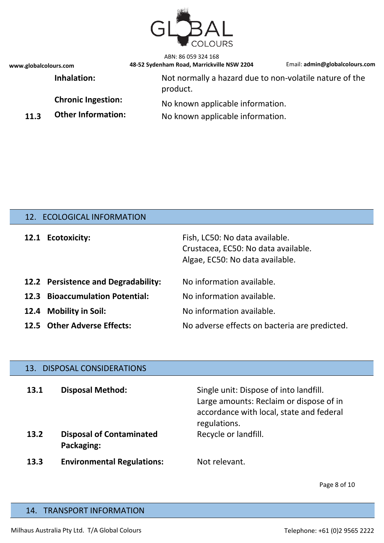

ABN: 86 059 324 168

**www.globalcolours.com 48-52 Sydenham Road, Marrickville NSW 2204** Email: **admin@globalcolours.com**

**Inhalation:** Not normally a hazard due to non-volatile nature of the product.

**Chronic Ingestion:** No known applicable information.

**11.3 Other Information:** No known applicable information.

## 12. ECOLOGICAL INFORMATION

|      | 12.1 Ecotoxicity:                   | Fish, LC50: No data available.<br>Crustacea, EC50: No data available.<br>Algae, EC50: No data available. |
|------|-------------------------------------|----------------------------------------------------------------------------------------------------------|
|      | 12.2 Persistence and Degradability: | No information available.                                                                                |
| 12.3 | <b>Bioaccumulation Potential:</b>   | No information available.                                                                                |
|      | 12.4 Mobility in Soil:              | No information available.                                                                                |
|      | 12.5 Other Adverse Effects:         | No adverse effects on bacteria are predicted.                                                            |

#### 13. DISPOSAL CONSIDERATIONS

| 13.1<br>13.2 | <b>Disposal Method:</b><br><b>Disposal of Contaminated</b><br>Packaging: | Single unit: Dispose of into landfill.<br>Large amounts: Reclaim or dispose of in<br>accordance with local, state and federal<br>regulations.<br>Recycle or landfill. |
|--------------|--------------------------------------------------------------------------|-----------------------------------------------------------------------------------------------------------------------------------------------------------------------|
| 13.3         | <b>Environmental Regulations:</b>                                        | Not relevant.                                                                                                                                                         |

Page 8 of 10

#### 14. TRANSPORT INFORMATION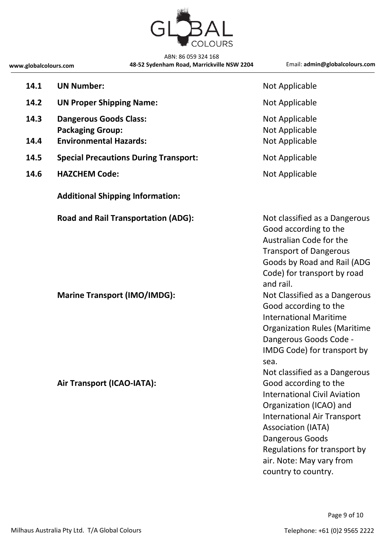

| 14.1         | <b>UN Number:</b>                                                                         | Not Applicable                                                                                                                                                                                                                                                   |
|--------------|-------------------------------------------------------------------------------------------|------------------------------------------------------------------------------------------------------------------------------------------------------------------------------------------------------------------------------------------------------------------|
| 14.2         | <b>UN Proper Shipping Name:</b>                                                           | Not Applicable                                                                                                                                                                                                                                                   |
| 14.3<br>14.4 | <b>Dangerous Goods Class:</b><br><b>Packaging Group:</b><br><b>Environmental Hazards:</b> | Not Applicable<br>Not Applicable<br>Not Applicable                                                                                                                                                                                                               |
| 14.5         | <b>Special Precautions During Transport:</b>                                              | Not Applicable                                                                                                                                                                                                                                                   |
| 14.6         | <b>HAZCHEM Code:</b>                                                                      | Not Applicable                                                                                                                                                                                                                                                   |
|              | <b>Additional Shipping Information:</b>                                                   |                                                                                                                                                                                                                                                                  |
|              | <b>Road and Rail Transportation (ADG):</b>                                                | Not classified as a Dangerous<br>Good according to the<br>Australian Code for the<br><b>Transport of Dangerous</b><br>Goods by Road and Rail (ADG<br>Code) for transport by road<br>and rail.                                                                    |
|              | <b>Marine Transport (IMO/IMDG):</b>                                                       | Not Classified as a Dangerous<br>Good according to the<br><b>International Maritime</b><br><b>Organization Rules (Maritime</b><br>Dangerous Goods Code -<br>IMDG Code) for transport by<br>sea.<br>Not classified as a Dangerous                                 |
|              | Air Transport (ICAO-IATA):                                                                | Good according to the<br><b>International Civil Aviation</b><br>Organization (ICAO) and<br><b>International Air Transport</b><br><b>Association (IATA)</b><br>Dangerous Goods<br>Regulations for transport by<br>air. Note: May vary from<br>country to country. |

Page 9 of 10